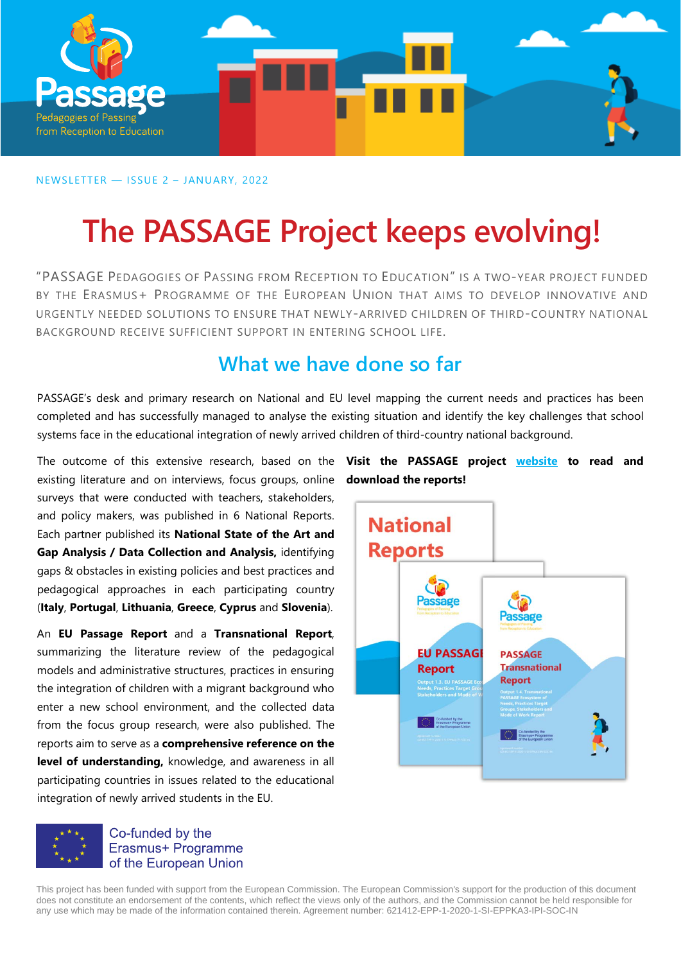

NEWSLETTER — ISSUE 2 – JANUARY, 2022

# **The PASSAGE Project keeps evolving!**

"PASSAGE PEDAGOGIES OF PASSING FROM RECEPTION TO EDUCATION" IS A TWO-YEAR PROJECT FUNDED BY THE ERASMUS+ PROGRAMME OF THE EUROPEAN UNION THAT AIMS TO DEVELOP INNOVATIVE AND URGENTLY NEEDED SOLUTIONS TO ENSURE THAT NEWLY-ARRIVED CHILDREN OF THIRD-COUNTRY NATIONAL BACKGROUND RECEIVE SUFFICIENT SUPPORT IN ENTERING SCHOOL LIFE.

### **What we have done so far**

PASSAGE's desk and primary research on National and EU level mapping the current needs and practices has been completed and has successfully managed to analyse the existing situation and identify the key challenges that school systems face in the educational integration of newly arrived children of third-country national background.

existing literature and on interviews, focus groups, online **download the reports!**surveys that were conducted with teachers, stakeholders, and policy makers, was published in 6 National Reports. Each partner published its **National State of the Art and Gap Analysis / Data Collection and Analysis,** identifying gaps & obstacles in existing policies and best practices and pedagogical approaches in each participating country (**Italy**, **Portugal**, **Lithuania**, **Greece**, **Cyprus** and **Slovenia**).

An **EU Passage Report** and a **Transnational Report**, summarizing the literature review of the pedagogical models and administrative structures, practices in ensuring the integration of children with a migrant background who enter a new school environment, and the collected data from the focus group research, were also published. The reports aim to serve as a **comprehensive reference on the level of understanding,** knowledge, and awareness in all participating countries in issues related to the educational integration of newly arrived students in the EU.



Erasmus+ Programme of the European Union

The outcome of this extensive research, based on the **Visit the PASSAGE project [website](https://passageproject.eu/resources/) to read and** 



This project has been funded with support from the European Commission. The European Commission's support for the production of this document does not constitute an endorsement of the contents, which reflect the views only of the authors, and the Commission cannot be held responsible for any use which may be made of the information contained therein. Agreement number: 621412-EPP-1-2020-1-SI-EPPKA3-IPI-SOC-IN